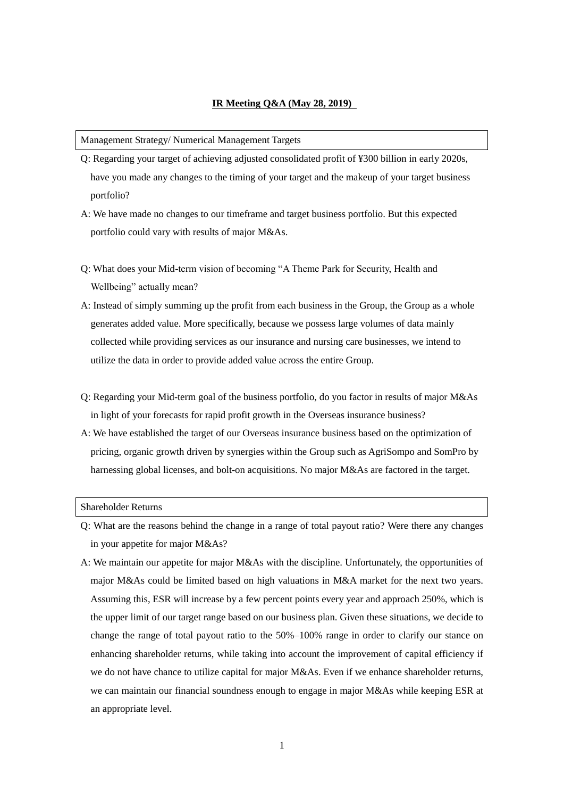# **IR Meeting Q&A (May 28, 2019)**

### Management Strategy/ Numerical Management Targets

- Q: Regarding your target of achieving adjusted consolidated profit of ¥300 billion in early 2020s, have you made any changes to the timing of your target and the makeup of your target business portfolio?
- A: We have made no changes to our timeframe and target business portfolio. But this expected portfolio could vary with results of major M&As.
- Q: What does your Mid-term vision of becoming "A Theme Park for Security, Health and Wellbeing" actually mean?
- A: Instead of simply summing up the profit from each business in the Group, the Group as a whole generates added value. More specifically, because we possess large volumes of data mainly collected while providing services as our insurance and nursing care businesses, we intend to utilize the data in order to provide added value across the entire Group.
- Q: Regarding your Mid-term goal of the business portfolio, do you factor in results of major M&As in light of your forecasts for rapid profit growth in the Overseas insurance business?
- A: We have established the target of our Overseas insurance business based on the optimization of pricing, organic growth driven by synergies within the Group such as AgriSompo and SomPro by harnessing global licenses, and bolt-on acquisitions. No major M&As are factored in the target.

#### Shareholder Returns

- Q: What are the reasons behind the change in a range of total payout ratio? Were there any changes in your appetite for major M&As?
- A: We maintain our appetite for major M&As with the discipline. Unfortunately, the opportunities of major M&As could be limited based on high valuations in M&A market for the next two years. Assuming this, ESR will increase by a few percent points every year and approach 250%, which is the upper limit of our target range based on our business plan. Given these situations, we decide to change the range of total payout ratio to the 50%–100% range in order to clarify our stance on enhancing shareholder returns, while taking into account the improvement of capital efficiency if we do not have chance to utilize capital for major M&As. Even if we enhance shareholder returns, we can maintain our financial soundness enough to engage in major M&As while keeping ESR at an appropriate level.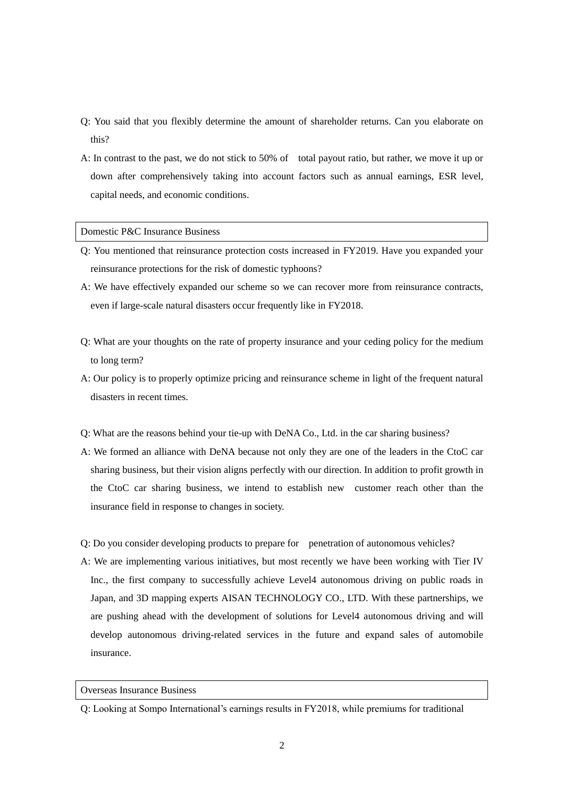- Q: You said that you flexibly determine the amount of shareholder returns. Can you elaborate on this?
- A: In contrast to the past, we do not stick to 50% of total payout ratio, but rather, we move it up or down after comprehensively taking into account factors such as annual earnings, ESR level, capital needs, and economic conditions.

# Domestic P&C Insurance Business

- Q: You mentioned that reinsurance protection costs increased in FY2019. Have you expanded your reinsurance protections for the risk of domestic typhoons?
- A: We have effectively expanded our scheme so we can recover more from reinsurance contracts, even if large-scale natural disasters occur frequently like in FY2018.
- Q: What are your thoughts on the rate of property insurance and your ceding policy for the medium to long term?
- A: Our policy is to properly optimize pricing and reinsurance scheme in light of the frequent natural disasters in recent times.
- Q: What are the reasons behind your tie-up with DeNA Co., Ltd. in the car sharing business?
- A: We formed an alliance with DeNA because not only they are one of the leaders in the CtoC car sharing business, but their vision aligns perfectly with our direction. In addition to profit growth in the CtoC car sharing business, we intend to establish new customer reach other than the insurance field in response to changes in society.
- Q: Do you consider developing products to prepare for penetration of autonomous vehicles?
- A: We are implementing various initiatives, but most recently we have been working with Tier IV Inc., the first company to successfully achieve Level4 autonomous driving on public roads in Japan, and 3D mapping experts AISAN TECHNOLOGY CO., LTD. With these partnerships, we are pushing ahead with the development of solutions for Level4 autonomous driving and will develop autonomous driving-related services in the future and expand sales of automobile insurance.

# Overseas Insurance Business

Q: Looking at Sompo International's earnings results in FY2018, while premiums for traditional